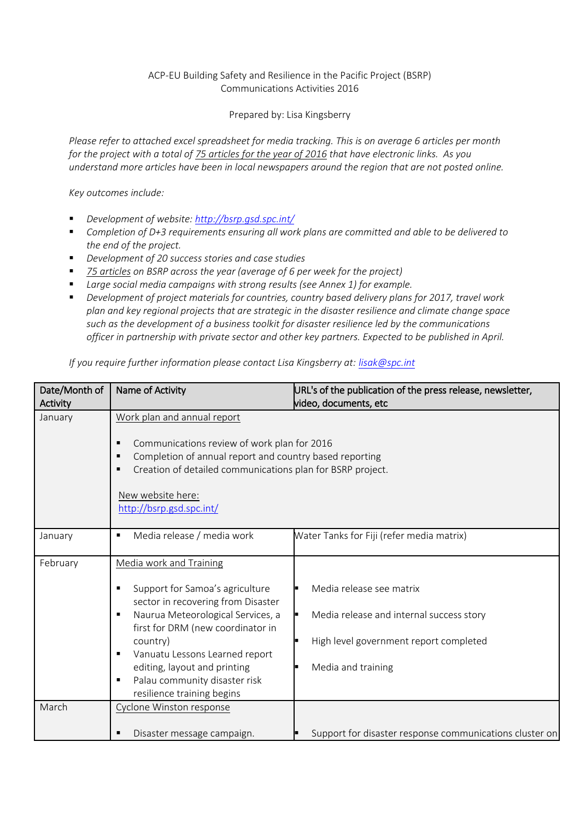## ACP-EU Building Safety and Resilience in the Pacific Project (BSRP) Communications Activities 2016

### Prepared by: Lisa Kingsberry

*Please refer to attached excel spreadsheet for media tracking. This is on average 6 articles per month for the project with a total of 75 articles for the year of 2016 that have electronic links. As you understand more articles have been in local newspapers around the region that are not posted online.* 

*Key outcomes include:*

- *Development of website:<http://bsrp.gsd.spc.int/>*
- Completion of D+3 requirements ensuring all work plans are committed and able to be delivered to *the end of the project.*
- *Development of 20 success stories and case studies*
- 75 articles on BSRP across the year (average of 6 per week for the project)
- *Large social media campaigns with strong results (see Annex 1) for example.*
- *Development of project materials for countries, country based delivery plans for 2017, travel work plan and key regional projects that are strategic in the disaster resilience and climate change space such as the development of a business toolkit for disaster resilience led by the communications officer in partnership with private sector and other key partners. Expected to be published in April.*

# *If you require further information please contact Lisa Kingsberry at: [lisak@spc.int](mailto:lisak@spc.int)*

| Date/Month of   | Name of Activity                                                                                                                                                                                                                                                                                                                               | URL's of the publication of the press release, newsletter,                                                                           |
|-----------------|------------------------------------------------------------------------------------------------------------------------------------------------------------------------------------------------------------------------------------------------------------------------------------------------------------------------------------------------|--------------------------------------------------------------------------------------------------------------------------------------|
| <b>Activity</b> |                                                                                                                                                                                                                                                                                                                                                | video, documents, etc                                                                                                                |
| January         | Work plan and annual report<br>Communications review of work plan for 2016<br>$\blacksquare$<br>Completion of annual report and country based reporting<br>п<br>Creation of detailed communications plan for BSRP project.<br>٠<br>New website here:<br>http://bsrp.gsd.spc.int/                                                               |                                                                                                                                      |
| January         | Media release / media work<br>٠                                                                                                                                                                                                                                                                                                                | Water Tanks for Fiji (refer media matrix)                                                                                            |
| February        | Media work and Training<br>Support for Samoa's agriculture<br>sector in recovering from Disaster<br>Naurua Meteorological Services, a<br>$\blacksquare$<br>first for DRM (new coordinator in<br>country)<br>Vanuatu Lessons Learned report<br>editing, layout and printing<br>Palau community disaster risk<br>٠<br>resilience training begins | Media release see matrix<br>Media release and internal success story<br>High level government report completed<br>Media and training |
| March           | Cyclone Winston response<br>Disaster message campaign.                                                                                                                                                                                                                                                                                         | Support for disaster response communications cluster on                                                                              |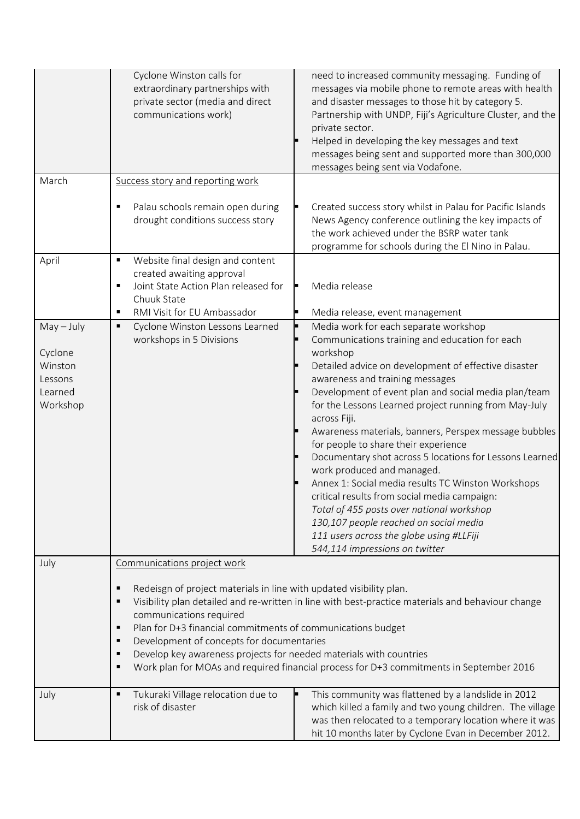|                                                                      | Cyclone Winston calls for<br>extraordinary partnerships with<br>private sector (media and direct<br>communications work)                                                                                                                                                                                                                      | need to increased community messaging. Funding of<br>messages via mobile phone to remote areas with health<br>and disaster messages to those hit by category 5.<br>Partnership with UNDP, Fiji's Agriculture Cluster, and the<br>private sector.<br>Helped in developing the key messages and text<br>messages being sent and supported more than 300,000<br>messages being sent via Vodafone.                                                                                                                                                                                                                                                                                                                                                                                                       |
|----------------------------------------------------------------------|-----------------------------------------------------------------------------------------------------------------------------------------------------------------------------------------------------------------------------------------------------------------------------------------------------------------------------------------------|------------------------------------------------------------------------------------------------------------------------------------------------------------------------------------------------------------------------------------------------------------------------------------------------------------------------------------------------------------------------------------------------------------------------------------------------------------------------------------------------------------------------------------------------------------------------------------------------------------------------------------------------------------------------------------------------------------------------------------------------------------------------------------------------------|
| March                                                                | Success story and reporting work                                                                                                                                                                                                                                                                                                              |                                                                                                                                                                                                                                                                                                                                                                                                                                                                                                                                                                                                                                                                                                                                                                                                      |
|                                                                      | Palau schools remain open during<br>drought conditions success story                                                                                                                                                                                                                                                                          | Created success story whilst in Palau for Pacific Islands<br>News Agency conference outlining the key impacts of<br>the work achieved under the BSRP water tank<br>programme for schools during the El Nino in Palau.                                                                                                                                                                                                                                                                                                                                                                                                                                                                                                                                                                                |
| April                                                                | Website final design and content<br>$\blacksquare$<br>created awaiting approval<br>Joint State Action Plan released for<br>$\blacksquare$<br>Chuuk State<br>RMI Visit for EU Ambassador<br>$\blacksquare$                                                                                                                                     | Media release<br>Media release, event management                                                                                                                                                                                                                                                                                                                                                                                                                                                                                                                                                                                                                                                                                                                                                     |
| $May - July$<br>Cyclone<br>Winston<br>Lessons<br>Learned<br>Workshop | Cyclone Winston Lessons Learned<br>$\blacksquare$<br>workshops in 5 Divisions                                                                                                                                                                                                                                                                 | Media work for each separate workshop<br>Communications training and education for each<br>workshop<br>Detailed advice on development of effective disaster<br>awareness and training messages<br>Development of event plan and social media plan/team<br>for the Lessons Learned project running from May-July<br>across Fiji.<br>Awareness materials, banners, Perspex message bubbles<br>for people to share their experience<br>Documentary shot across 5 locations for Lessons Learned<br>work produced and managed.<br>Annex 1: Social media results TC Winston Workshops<br>critical results from social media campaign:<br>Total of 455 posts over national workshop<br>130,107 people reached on social media<br>111 users across the globe using #LLFiji<br>544,114 impressions on twitter |
| July                                                                 | Communications project work<br>Redeisgn of project materials in line with updated visibility plan.<br>٠<br>٠<br>communications required<br>Plan for D+3 financial commitments of communications budget<br>٠<br>Development of concepts for documentaries<br>٠<br>Develop key awareness projects for needed materials with countries<br>٠<br>٠ | Visibility plan detailed and re-written in line with best-practice materials and behaviour change<br>Work plan for MOAs and required financial process for D+3 commitments in September 2016                                                                                                                                                                                                                                                                                                                                                                                                                                                                                                                                                                                                         |
| July                                                                 | Tukuraki Village relocation due to<br>٠<br>risk of disaster                                                                                                                                                                                                                                                                                   | This community was flattened by a landslide in 2012<br>which killed a family and two young children. The village<br>was then relocated to a temporary location where it was<br>hit 10 months later by Cyclone Evan in December 2012.                                                                                                                                                                                                                                                                                                                                                                                                                                                                                                                                                                 |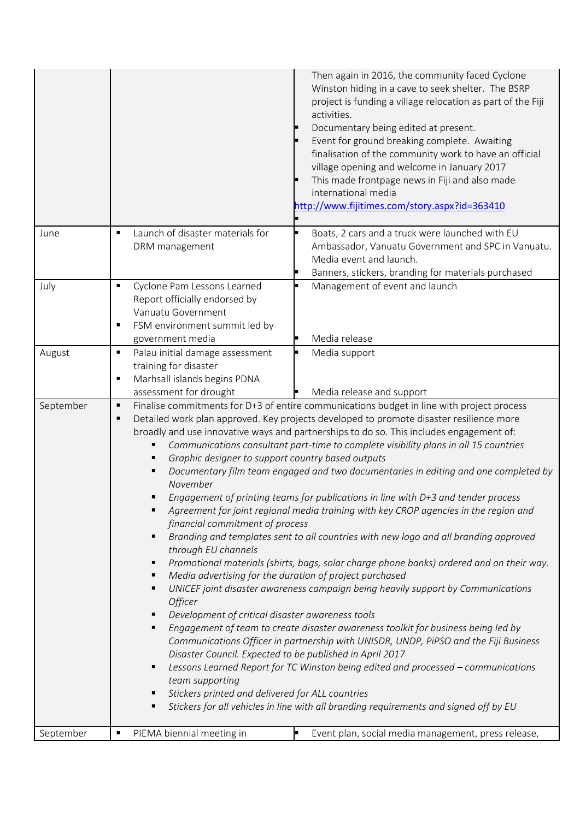| Launch of disaster materials for<br>Boats, 2 cars and a truck were launched with EU<br>E<br>June<br>٠<br>DRM management<br>Media event and launch.<br>Banners, stickers, branding for materials purchased<br>July<br>Cyclone Pam Lessons Learned<br>Management of event and launch<br>$\blacksquare$<br>Report officially endorsed by<br>Vanuatu Government<br>FSM environment summit led by<br>٠<br>Media release<br>government media<br>August<br>Palau initial damage assessment<br>Media support<br>$\blacksquare$<br>training for disaster<br>Marhsall islands begins PDNA<br>$\blacksquare$<br>assessment for drought<br>Media release and support<br>Finalise commitments for D+3 of entire communications budget in line with project process<br>September<br>$\blacksquare$<br>Detailed work plan approved. Key projects developed to promote disaster resilience more<br>٠<br>broadly and use innovative ways and partnerships to do so. This includes engagement of:<br>Graphic designer to support country based outputs<br>November<br>Engagement of printing teams for publications in line with D+3 and tender process<br>financial commitment of process<br>٠<br>through EU channels<br>٠<br>Media advertising for the duration of project purchased<br>٠<br>٠<br>Officer<br>Development of critical disaster awareness tools<br>Engagement of team to create disaster awareness toolkit for business being led by<br>٠ | Then again in 2016, the community faced Cyclone<br>Winston hiding in a cave to seek shelter. The BSRP<br>project is funding a village relocation as part of the Fiji<br>activities.<br>Documentary being edited at present.<br>Event for ground breaking complete. Awaiting<br>finalisation of the community work to have an official<br>village opening and welcome in January 2017<br>This made frontpage news in Fiji and also made<br>international media<br>http://www.fijitimes.com/story.aspx?id=363410                                                                                                                                                                                                                                                                                                                              |
|-----------------------------------------------------------------------------------------------------------------------------------------------------------------------------------------------------------------------------------------------------------------------------------------------------------------------------------------------------------------------------------------------------------------------------------------------------------------------------------------------------------------------------------------------------------------------------------------------------------------------------------------------------------------------------------------------------------------------------------------------------------------------------------------------------------------------------------------------------------------------------------------------------------------------------------------------------------------------------------------------------------------------------------------------------------------------------------------------------------------------------------------------------------------------------------------------------------------------------------------------------------------------------------------------------------------------------------------------------------------------------------------------------------------------------------------|---------------------------------------------------------------------------------------------------------------------------------------------------------------------------------------------------------------------------------------------------------------------------------------------------------------------------------------------------------------------------------------------------------------------------------------------------------------------------------------------------------------------------------------------------------------------------------------------------------------------------------------------------------------------------------------------------------------------------------------------------------------------------------------------------------------------------------------------|
|                                                                                                                                                                                                                                                                                                                                                                                                                                                                                                                                                                                                                                                                                                                                                                                                                                                                                                                                                                                                                                                                                                                                                                                                                                                                                                                                                                                                                                         | Ambassador, Vanuatu Government and SPC in Vanuatu.                                                                                                                                                                                                                                                                                                                                                                                                                                                                                                                                                                                                                                                                                                                                                                                          |
|                                                                                                                                                                                                                                                                                                                                                                                                                                                                                                                                                                                                                                                                                                                                                                                                                                                                                                                                                                                                                                                                                                                                                                                                                                                                                                                                                                                                                                         |                                                                                                                                                                                                                                                                                                                                                                                                                                                                                                                                                                                                                                                                                                                                                                                                                                             |
|                                                                                                                                                                                                                                                                                                                                                                                                                                                                                                                                                                                                                                                                                                                                                                                                                                                                                                                                                                                                                                                                                                                                                                                                                                                                                                                                                                                                                                         |                                                                                                                                                                                                                                                                                                                                                                                                                                                                                                                                                                                                                                                                                                                                                                                                                                             |
|                                                                                                                                                                                                                                                                                                                                                                                                                                                                                                                                                                                                                                                                                                                                                                                                                                                                                                                                                                                                                                                                                                                                                                                                                                                                                                                                                                                                                                         |                                                                                                                                                                                                                                                                                                                                                                                                                                                                                                                                                                                                                                                                                                                                                                                                                                             |
|                                                                                                                                                                                                                                                                                                                                                                                                                                                                                                                                                                                                                                                                                                                                                                                                                                                                                                                                                                                                                                                                                                                                                                                                                                                                                                                                                                                                                                         |                                                                                                                                                                                                                                                                                                                                                                                                                                                                                                                                                                                                                                                                                                                                                                                                                                             |
| team supporting<br>Stickers printed and delivered for ALL countries<br>Stickers for all vehicles in line with all branding requirements and signed off by EU<br>September<br>PIEMA biennial meeting in<br>E<br>٠                                                                                                                                                                                                                                                                                                                                                                                                                                                                                                                                                                                                                                                                                                                                                                                                                                                                                                                                                                                                                                                                                                                                                                                                                        | Communications consultant part-time to complete visibility plans in all 15 countries<br>Documentary film team engaged and two documentaries in editing and one completed by<br>Agreement for joint regional media training with key CROP agencies in the region and<br>Branding and templates sent to all countries with new logo and all branding approved<br>Promotional materials (shirts, bags, solar charge phone banks) ordered and on their way.<br>UNICEF joint disaster awareness campaign being heavily support by Communications<br>Communications Officer in partnership with UNISDR, UNDP, PiPSO and the Fiji Business<br>Disaster Council. Expected to be published in April 2017<br>Lessons Learned Report for TC Winston being edited and processed - communications<br>Event plan, social media management, press release, |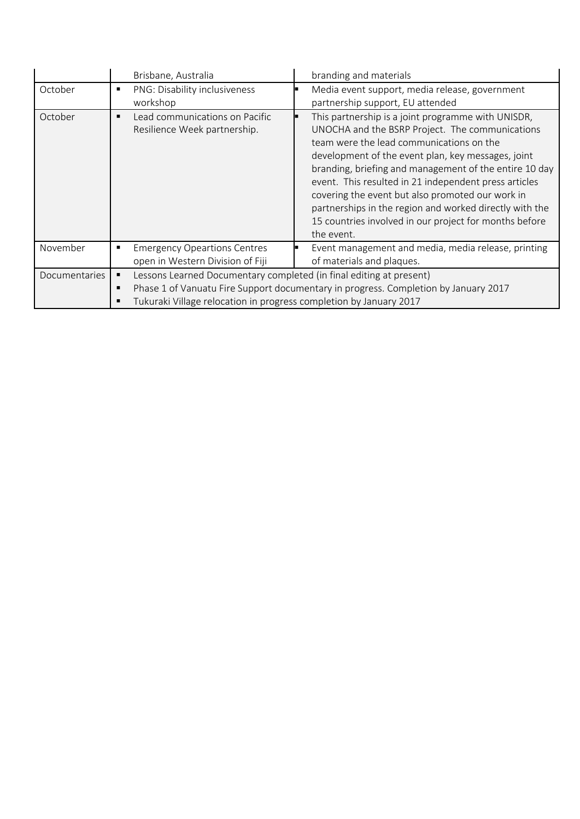|               | Brisbane, Australia                                                      | branding and materials                                                                                                                                                                                                                                                                                                                                                                                                                                                                                            |
|---------------|--------------------------------------------------------------------------|-------------------------------------------------------------------------------------------------------------------------------------------------------------------------------------------------------------------------------------------------------------------------------------------------------------------------------------------------------------------------------------------------------------------------------------------------------------------------------------------------------------------|
| October       | PNG: Disability inclusiveness                                            | Media event support, media release, government                                                                                                                                                                                                                                                                                                                                                                                                                                                                    |
|               | workshop                                                                 | partnership support, EU attended                                                                                                                                                                                                                                                                                                                                                                                                                                                                                  |
| October       | Lead communications on Pacific<br>Resilience Week partnership.           | This partnership is a joint programme with UNISDR,<br>UNOCHA and the BSRP Project. The communications<br>team were the lead communications on the<br>development of the event plan, key messages, joint<br>branding, briefing and management of the entire 10 day<br>event. This resulted in 21 independent press articles<br>covering the event but also promoted our work in<br>partnerships in the region and worked directly with the<br>15 countries involved in our project for months before<br>the event. |
| November      | <b>Emergency Opeartions Centres</b><br>п                                 | Event management and media, media release, printing                                                                                                                                                                                                                                                                                                                                                                                                                                                               |
|               | open in Western Division of Fiji                                         | of materials and plaques.                                                                                                                                                                                                                                                                                                                                                                                                                                                                                         |
| Documentaries | Lessons Learned Documentary completed (in final editing at present)<br>٠ |                                                                                                                                                                                                                                                                                                                                                                                                                                                                                                                   |
|               |                                                                          | Phase 1 of Vanuatu Fire Support documentary in progress. Completion by January 2017                                                                                                                                                                                                                                                                                                                                                                                                                               |
|               | Tukuraki Village relocation in progress completion by January 2017       |                                                                                                                                                                                                                                                                                                                                                                                                                                                                                                                   |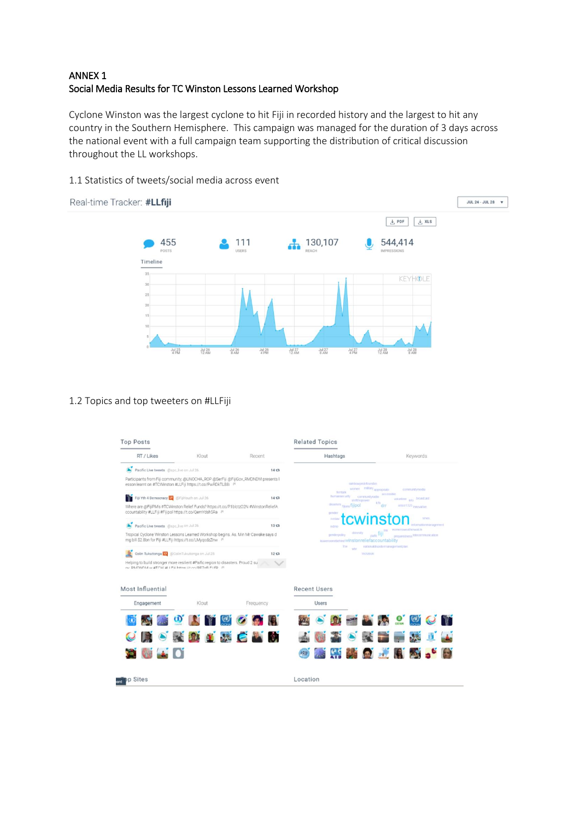# ANNEX 1 Social Media Results for TC Winston Lessons Learned Workshop

Cyclone Winston was the largest cyclone to hit Fiji in recorded history and the largest to hit any country in the Southern Hemisphere. This campaign was managed for the duration of 3 days across the national event with a full campaign team supporting the distribution of critical discussion throughout the LL workshops.

#### 1.1 Statistics of tweets/social media across event



#### 1.2 Topics and top tweeters on #LLFiji

| RT / Likes                                                                                                | Klout                                                                              | Recent                                                                               | Hashtags                                                                  | Keywords                                                                       |
|-----------------------------------------------------------------------------------------------------------|------------------------------------------------------------------------------------|--------------------------------------------------------------------------------------|---------------------------------------------------------------------------|--------------------------------------------------------------------------------|
|                                                                                                           |                                                                                    |                                                                                      |                                                                           |                                                                                |
| Pacific Live tweets @spc_live on Jul 26                                                                   |                                                                                    | 14t3                                                                                 |                                                                           |                                                                                |
|                                                                                                           | esson learnt on #TCWinston #LLFiji https://t.co/PwRDkTLB8i /*                      | Participants from Fiji community, @UNOCHA_ROP @SerFiji @FijiGov_RMDNDM presents I    | rainbowpridefounders                                                      |                                                                                |
|                                                                                                           |                                                                                    |                                                                                      | women military appropriate<br>Territalk<br>humiansecurity communityradio  | communitymedia<br>accessible                                                   |
| Fiji Yth 4 Democracy (4) @FijiYouth on Jul 26                                                             |                                                                                    | 1413                                                                                 | stuffinepower<br>disasters <sub>njums</sub> fijipol                       | volunteer <sub>into</sub> broadcast<br>irtu.<br>$d$ rr<br>unscr1325 innovative |
| ccountability #LLFiji #Fijipol https://t.co/QemYdsh5Ra #                                                  |                                                                                    | Where are @FijiPM's #TCWinston Relief Funds? https://t.co/P1blctzO2N #WinstonReliefA | gendor                                                                    |                                                                                |
|                                                                                                           |                                                                                    |                                                                                      | cedaw                                                                     | smes                                                                           |
| Pacific Live tweets @spc_live on Jul 26                                                                   |                                                                                    | 13t3                                                                                 | ndmo                                                                      | formationrisanagement<br>womensweatherwatch                                    |
| mg bill \$2.8bn for Fiji #LLFiji https://t.co/LMyqcdzZnw #                                                | Tropical Cyclone Winston Lessons Learned Workshop begins. As. Min Mr Cawake says d |                                                                                      | diversity<br>genderpolicy<br>leavenoonebehind winstonreliefaccountability | page TIJI<br>preparedness <sup>telecommunication</sup>                         |
|                                                                                                           |                                                                                    |                                                                                      | tow<br>vity.                                                              | nationalidisastermanagementplan.                                               |
| Colin Tukuitonga <a>[5]</a> @ColinTukuitonga on Jul 25                                                    |                                                                                    | 12 <sub>1</sub>                                                                      | <b>INCREADY</b>                                                           |                                                                                |
|                                                                                                           |                                                                                    |                                                                                      |                                                                           |                                                                                |
|                                                                                                           | Helping to build stronger more resilient #Paific region to disasters. Proud 2 su   |                                                                                      |                                                                           |                                                                                |
|                                                                                                           |                                                                                    |                                                                                      |                                                                           |                                                                                |
|                                                                                                           |                                                                                    |                                                                                      |                                                                           |                                                                                |
|                                                                                                           |                                                                                    |                                                                                      | <b>Recent Users</b>                                                       |                                                                                |
|                                                                                                           |                                                                                    |                                                                                      |                                                                           |                                                                                |
| Engagement                                                                                                | Klout                                                                              | Frequency                                                                            | <b>Users</b>                                                              |                                                                                |
|                                                                                                           |                                                                                    |                                                                                      |                                                                           |                                                                                |
|                                                                                                           |                                                                                    | <b>AUDIO REGIONAL</b>                                                                |                                                                           | <b>EXAMPLE OF</b>                                                              |
|                                                                                                           |                                                                                    |                                                                                      |                                                                           |                                                                                |
|                                                                                                           |                                                                                    | CHORDING T                                                                           | <b>WEOKE</b>                                                              | 出<br>大学                                                                        |
|                                                                                                           |                                                                                    |                                                                                      |                                                                           |                                                                                |
| our DMDNIDM w/#TCW/#LFiii https://t.co/RE7nfl FLIED //<br>Most Influential<br><b>SECOND AND STRUCTURE</b> |                                                                                    |                                                                                      | (PRIF)                                                                    | <b>SHOW OF A RIVER SHOW</b>                                                    |
|                                                                                                           |                                                                                    |                                                                                      |                                                                           |                                                                                |